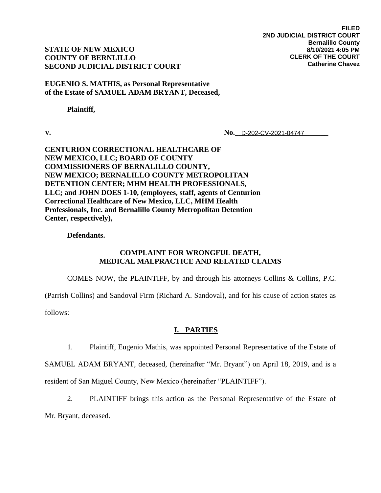## **STATE OF NEW MEXICO COUNTY OF BERNLILLO SECOND JUDICIAL DISTRICT COURT**

## **EUGENIO S. MATHIS, as Personal Representative of the Estate of SAMUEL ADAM BRYANT, Deceased,**

# **Plaintiff,**

**v. No.** <u>D-202-CV-2021-04747</u>

**CENTURION CORRECTIONAL HEALTHCARE OF NEW MEXICO, LLC; BOARD OF COUNTY COMMISSIONERS OF BERNALILLO COUNTY, NEW MEXICO; BERNALILLO COUNTY METROPOLITAN DETENTION CENTER; MHM HEALTH PROFESSIONALS, LLC; and JOHN DOES 1-10, (employees, staff, agents of Centurion Correctional Healthcare of New Mexico, LLC, MHM Health Professionals, Inc. and Bernalillo County Metropolitan Detention Center, respectively),**

# **Defendants.**

# **COMPLAINT FOR WRONGFUL DEATH, MEDICAL MALPRACTICE AND RELATED CLAIMS**

COMES NOW, the PLAINTIFF, by and through his attorneys Collins & Collins, P.C.

(Parrish Collins) and Sandoval Firm (Richard A. Sandoval), and for his cause of action states as

follows:

# **I. PARTIES**

1. Plaintiff, Eugenio Mathis, was appointed Personal Representative of the Estate of

SAMUEL ADAM BRYANT, deceased, (hereinafter "Mr. Bryant") on April 18, 2019, and is a

resident of San Miguel County, New Mexico (hereinafter "PLAINTIFF").

2. PLAINTIFF brings this action as the Personal Representative of the Estate of Mr. Bryant, deceased.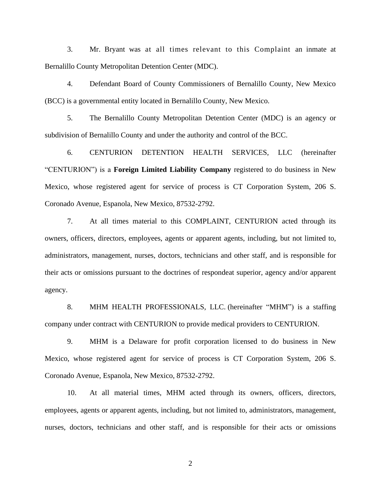3. Mr. Bryant was at all times relevant to this Complaint an inmate at Bernalillo County Metropolitan Detention Center (MDC).

4. Defendant Board of County Commissioners of Bernalillo County, New Mexico (BCC) is a governmental entity located in Bernalillo County, New Mexico.

5. The Bernalillo County Metropolitan Detention Center (MDC) is an agency or subdivision of Bernalillo County and under the authority and control of the BCC.

6. CENTURION DETENTION HEALTH SERVICES, LLC (hereinafter "CENTURION") is a **Foreign Limited Liability Company** registered to do business in New Mexico, whose registered agent for service of process is CT Corporation System, 206 S. Coronado Avenue, Espanola, New Mexico, 87532-2792.

7. At all times material to this COMPLAINT, CENTURION acted through its owners, officers, directors, employees, agents or apparent agents, including, but not limited to, administrators, management, nurses, doctors, technicians and other staff, and is responsible for their acts or omissions pursuant to the doctrines of respondeat superior, agency and/or apparent agency.

8. MHM HEALTH PROFESSIONALS, LLC. (hereinafter "MHM") is a staffing company under contract with CENTURION to provide medical providers to CENTURION.

9. MHM is a Delaware for profit corporation licensed to do business in New Mexico, whose registered agent for service of process is CT Corporation System, 206 S. Coronado Avenue, Espanola, New Mexico, 87532-2792.

10. At all material times, MHM acted through its owners, officers, directors, employees, agents or apparent agents, including, but not limited to, administrators, management, nurses, doctors, technicians and other staff, and is responsible for their acts or omissions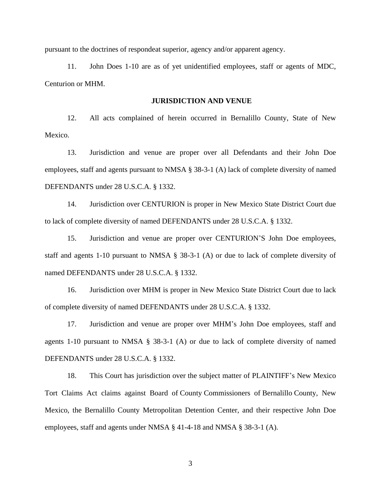pursuant to the doctrines of respondeat superior, agency and/or apparent agency.

11. John Does 1-10 are as of yet unidentified employees, staff or agents of MDC, Centurion or MHM.

#### **JURISDICTION AND VENUE**

12. All acts complained of herein occurred in Bernalillo County, State of New Mexico.

13. Jurisdiction and venue are proper over all Defendants and their John Doe employees, staff and agents pursuant to NMSA § 38-3-1 (A) lack of complete diversity of named DEFENDANTS under 28 U.S.C.A. § 1332.

14. Jurisdiction over CENTURION is proper in New Mexico State District Court due to lack of complete diversity of named DEFENDANTS under 28 U.S.C.A. § 1332.

15. Jurisdiction and venue are proper over CENTURION'S John Doe employees, staff and agents 1-10 pursuant to NMSA § 38-3-1 (A) or due to lack of complete diversity of named DEFENDANTS under 28 U.S.C.A. § 1332.

16. Jurisdiction over MHM is proper in New Mexico State District Court due to lack of complete diversity of named DEFENDANTS under 28 U.S.C.A. § 1332.

17. Jurisdiction and venue are proper over MHM's John Doe employees, staff and agents 1-10 pursuant to NMSA § 38-3-1 (A) or due to lack of complete diversity of named DEFENDANTS under 28 U.S.C.A. § 1332.

18. This Court has jurisdiction over the subject matter of PLAINTIFF's New Mexico Tort Claims Act claims against Board of County Commissioners of Bernalillo County, New Mexico, the Bernalillo County Metropolitan Detention Center, and their respective John Doe employees, staff and agents under NMSA § 41-4-18 and NMSA § 38-3-1 (A).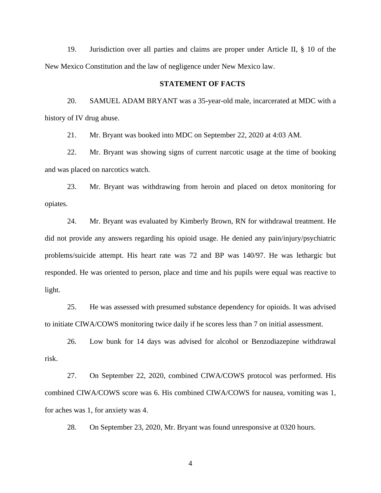19. Jurisdiction over all parties and claims are proper under Article II, § 10 of the New Mexico Constitution and the law of negligence under New Mexico law.

#### **STATEMENT OF FACTS**

20. SAMUEL ADAM BRYANT was a 35-year-old male, incarcerated at MDC with a history of IV drug abuse.

21. Mr. Bryant was booked into MDC on September 22, 2020 at 4:03 AM.

22. Mr. Bryant was showing signs of current narcotic usage at the time of booking and was placed on narcotics watch.

23. Mr. Bryant was withdrawing from heroin and placed on detox monitoring for opiates.

24. Mr. Bryant was evaluated by Kimberly Brown, RN for withdrawal treatment. He did not provide any answers regarding his opioid usage. He denied any pain/injury/psychiatric problems/suicide attempt. His heart rate was 72 and BP was 140/97. He was lethargic but responded. He was oriented to person, place and time and his pupils were equal was reactive to light.

25. He was assessed with presumed substance dependency for opioids. It was advised to initiate CIWA/COWS monitoring twice daily if he scores less than 7 on initial assessment.

26. Low bunk for 14 days was advised for alcohol or Benzodiazepine withdrawal risk.

27. On September 22, 2020, combined CIWA/COWS protocol was performed. His combined CIWA/COWS score was 6. His combined CIWA/COWS for nausea, vomiting was 1, for aches was 1, for anxiety was 4.

28. On September 23, 2020, Mr. Bryant was found unresponsive at 0320 hours.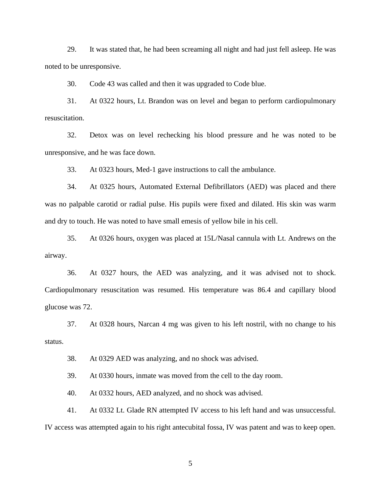29. It was stated that, he had been screaming all night and had just fell asleep. He was noted to be unresponsive.

30. Code 43 was called and then it was upgraded to Code blue.

31. At 0322 hours, Lt. Brandon was on level and began to perform cardiopulmonary resuscitation.

32. Detox was on level rechecking his blood pressure and he was noted to be unresponsive, and he was face down.

33. At 0323 hours, Med-1 gave instructions to call the ambulance.

34. At 0325 hours, Automated External Defibrillators (AED) was placed and there was no palpable carotid or radial pulse. His pupils were fixed and dilated. His skin was warm and dry to touch. He was noted to have small emesis of yellow bile in his cell.

35. At 0326 hours, oxygen was placed at 15L/Nasal cannula with Lt. Andrews on the airway.

36. At 0327 hours, the AED was analyzing, and it was advised not to shock. Cardiopulmonary resuscitation was resumed. His temperature was 86.4 and capillary blood glucose was 72.

37. At 0328 hours, Narcan 4 mg was given to his left nostril, with no change to his status.

38. At 0329 AED was analyzing, and no shock was advised.

39. At 0330 hours, inmate was moved from the cell to the day room.

40. At 0332 hours, AED analyzed, and no shock was advised.

41. At 0332 Lt. Glade RN attempted IV access to his left hand and was unsuccessful. IV access was attempted again to his right antecubital fossa, IV was patent and was to keep open.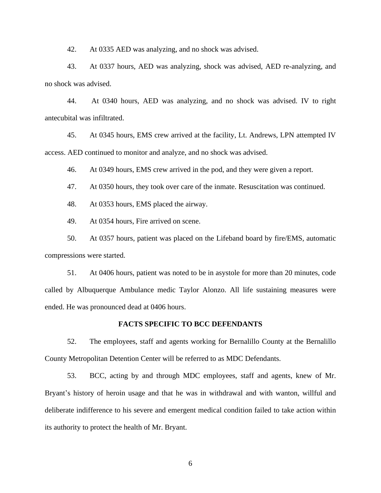42. At 0335 AED was analyzing, and no shock was advised.

43. At 0337 hours, AED was analyzing, shock was advised, AED re-analyzing, and no shock was advised.

44. At 0340 hours, AED was analyzing, and no shock was advised. IV to right antecubital was infiltrated.

45. At 0345 hours, EMS crew arrived at the facility, Lt. Andrews, LPN attempted IV access. AED continued to monitor and analyze, and no shock was advised.

46. At 0349 hours, EMS crew arrived in the pod, and they were given a report.

47. At 0350 hours, they took over care of the inmate. Resuscitation was continued.

48. At 0353 hours, EMS placed the airway.

49. At 0354 hours, Fire arrived on scene.

50. At 0357 hours, patient was placed on the Lifeband board by fire/EMS, automatic compressions were started.

51. At 0406 hours, patient was noted to be in asystole for more than 20 minutes, code called by Albuquerque Ambulance medic Taylor Alonzo. All life sustaining measures were ended. He was pronounced dead at 0406 hours.

#### **FACTS SPECIFIC TO BCC DEFENDANTS**

52. The employees, staff and agents working for Bernalillo County at the Bernalillo County Metropolitan Detention Center will be referred to as MDC Defendants.

53. BCC, acting by and through MDC employees, staff and agents, knew of Mr. Bryant's history of heroin usage and that he was in withdrawal and with wanton, willful and deliberate indifference to his severe and emergent medical condition failed to take action within its authority to protect the health of Mr. Bryant.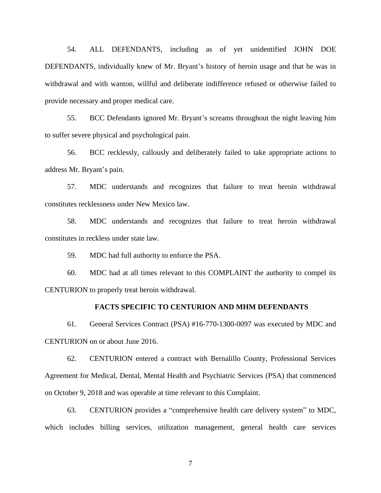54. ALL DEFENDANTS, including as of yet unidentified JOHN DOE DEFENDANTS, individually knew of Mr. Bryant's history of heroin usage and that he was in withdrawal and with wanton, willful and deliberate indifference refused or otherwise failed to provide necessary and proper medical care.

55. BCC Defendants ignored Mr. Bryant's screams throughout the night leaving him to suffer severe physical and psychological pain.

56. BCC recklessly, callously and deliberately failed to take appropriate actions to address Mr. Bryant's pain.

57. MDC understands and recognizes that failure to treat heroin withdrawal constitutes recklessness under New Mexico law.

58. MDC understands and recognizes that failure to treat heroin withdrawal constitutes in reckless under state law.

59. MDC had full authority to enforce the PSA.

60. MDC had at all times relevant to this COMPLAINT the authority to compel its CENTURION to properly treat heroin withdrawal.

#### **FACTS SPECIFIC TO CENTURION AND MHM DEFENDANTS**

61. General Services Contract (PSA) #16-770-1300-0097 was executed by MDC and CENTURION on or about June 2016.

62. CENTURION entered a contract with Bernalillo County, Professional Services Agreement for Medical, Dental, Mental Health and Psychiatric Services (PSA) that commenced on October 9, 2018 and was operable at time relevant to this Complaint.

63. CENTURION provides a "comprehensive health care delivery system" to MDC, which includes billing services, utilization management, general health care services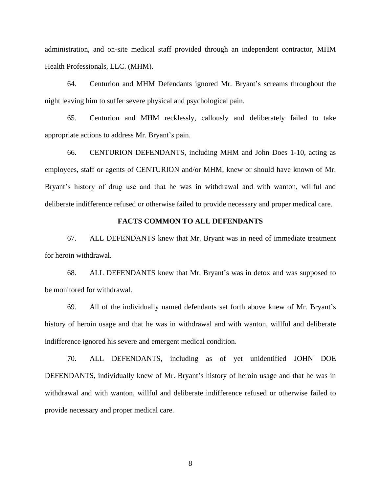administration, and on-site medical staff provided through an independent contractor, MHM Health Professionals, LLC. (MHM).

64. Centurion and MHM Defendants ignored Mr. Bryant's screams throughout the night leaving him to suffer severe physical and psychological pain.

65. Centurion and MHM recklessly, callously and deliberately failed to take appropriate actions to address Mr. Bryant's pain.

66. CENTURION DEFENDANTS, including MHM and John Does 1-10, acting as employees, staff or agents of CENTURION and/or MHM, knew or should have known of Mr. Bryant's history of drug use and that he was in withdrawal and with wanton, willful and deliberate indifference refused or otherwise failed to provide necessary and proper medical care.

#### **FACTS COMMON TO ALL DEFENDANTS**

67. ALL DEFENDANTS knew that Mr. Bryant was in need of immediate treatment for heroin withdrawal.

68. ALL DEFENDANTS knew that Mr. Bryant's was in detox and was supposed to be monitored for withdrawal.

69. All of the individually named defendants set forth above knew of Mr. Bryant's history of heroin usage and that he was in withdrawal and with wanton, willful and deliberate indifference ignored his severe and emergent medical condition.

70. ALL DEFENDANTS, including as of yet unidentified JOHN DOE DEFENDANTS, individually knew of Mr. Bryant's history of heroin usage and that he was in withdrawal and with wanton, willful and deliberate indifference refused or otherwise failed to provide necessary and proper medical care.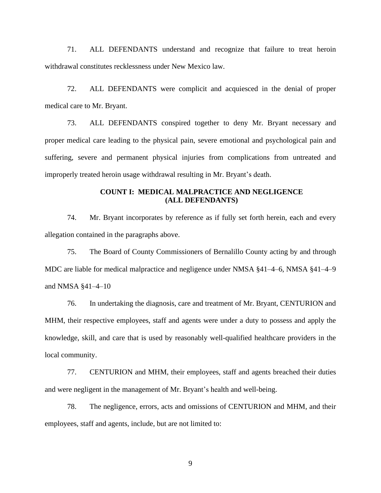71. ALL DEFENDANTS understand and recognize that failure to treat heroin withdrawal constitutes recklessness under New Mexico law.

72. ALL DEFENDANTS were complicit and acquiesced in the denial of proper medical care to Mr. Bryant.

73. ALL DEFENDANTS conspired together to deny Mr. Bryant necessary and proper medical care leading to the physical pain, severe emotional and psychological pain and suffering, severe and permanent physical injuries from complications from untreated and improperly treated heroin usage withdrawal resulting in Mr. Bryant's death.

### **COUNT I: MEDICAL MALPRACTICE AND NEGLIGENCE (ALL DEFENDANTS)**

74. Mr. Bryant incorporates by reference as if fully set forth herein, each and every allegation contained in the paragraphs above.

75. The Board of County Commissioners of Bernalillo County acting by and through MDC are liable for medical malpractice and negligence under NMSA §41–4–6, NMSA §41–4–9 and NMSA §41–4–10

76. In undertaking the diagnosis, care and treatment of Mr. Bryant, CENTURION and MHM, their respective employees, staff and agents were under a duty to possess and apply the knowledge, skill, and care that is used by reasonably well-qualified healthcare providers in the local community.

77. CENTURION and MHM, their employees, staff and agents breached their duties and were negligent in the management of Mr. Bryant's health and well-being.

78. The negligence, errors, acts and omissions of CENTURION and MHM, and their employees, staff and agents, include, but are not limited to: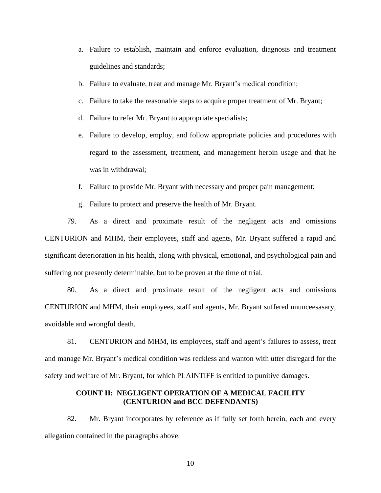- a. Failure to establish, maintain and enforce evaluation, diagnosis and treatment guidelines and standards;
- b. Failure to evaluate, treat and manage Mr. Bryant's medical condition;
- c. Failure to take the reasonable steps to acquire proper treatment of Mr. Bryant;
- d. Failure to refer Mr. Bryant to appropriate specialists;
- e. Failure to develop, employ, and follow appropriate policies and procedures with regard to the assessment, treatment, and management heroin usage and that he was in withdrawal;
- f. Failure to provide Mr. Bryant with necessary and proper pain management;
- g. Failure to protect and preserve the health of Mr. Bryant.

79. As a direct and proximate result of the negligent acts and omissions CENTURION and MHM, their employees, staff and agents, Mr. Bryant suffered a rapid and significant deterioration in his health, along with physical, emotional, and psychological pain and suffering not presently determinable, but to be proven at the time of trial.

80. As a direct and proximate result of the negligent acts and omissions CENTURION and MHM, their employees, staff and agents, Mr. Bryant suffered ununceesasary, avoidable and wrongful death.

81. CENTURION and MHM, its employees, staff and agent's failures to assess, treat and manage Mr. Bryant's medical condition was reckless and wanton with utter disregard for the safety and welfare of Mr. Bryant, for which PLAINTIFF is entitled to punitive damages.

#### **COUNT II: NEGLIGENT OPERATION OF A MEDICAL FACILITY (CENTURION and BCC DEFENDANTS)**

82. Mr. Bryant incorporates by reference as if fully set forth herein, each and every allegation contained in the paragraphs above.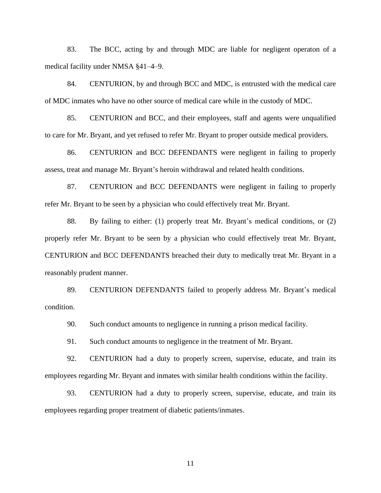83. The BCC, acting by and through MDC are liable for negligent operaton of a medical facility under NMSA §41–4–9.

84. CENTURION, by and through BCC and MDC, is entrusted with the medical care of MDC inmates who have no other source of medical care while in the custody of MDC.

85. CENTURION and BCC, and their employees, staff and agents were unqualified to care for Mr. Bryant, and yet refused to refer Mr. Bryant to proper outside medical providers.

86. CENTURION and BCC DEFENDANTS were negligent in failing to properly assess, treat and manage Mr. Bryant's heroin withdrawal and related health conditions.

87. CENTURION and BCC DEFENDANTS were negligent in failing to properly refer Mr. Bryant to be seen by a physician who could effectively treat Mr. Bryant.

88. By failing to either: (1) properly treat Mr. Bryant's medical conditions, or (2) properly refer Mr. Bryant to be seen by a physician who could effectively treat Mr. Bryant, CENTURION and BCC DEFENDANTS breached their duty to medically treat Mr. Bryant in a reasonably prudent manner.

89. CENTURION DEFENDANTS failed to properly address Mr. Bryant's medical condition.

90. Such conduct amounts to negligence in running a prison medical facility.

91. Such conduct amounts to negligence in the treatment of Mr. Bryant.

92. CENTURION had a duty to properly screen, supervise, educate, and train its employees regarding Mr. Bryant and inmates with similar health conditions within the facility.

93. CENTURION had a duty to properly screen, supervise, educate, and train its employees regarding proper treatment of diabetic patients/inmates.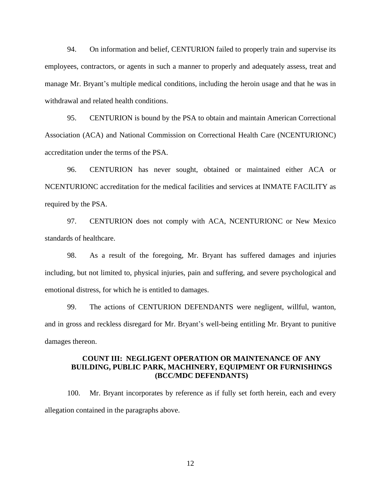94. On information and belief, CENTURION failed to properly train and supervise its employees, contractors, or agents in such a manner to properly and adequately assess, treat and manage Mr. Bryant's multiple medical conditions, including the heroin usage and that he was in withdrawal and related health conditions.

95. CENTURION is bound by the PSA to obtain and maintain American Correctional Association (ACA) and National Commission on Correctional Health Care (NCENTURIONC) accreditation under the terms of the PSA.

96. CENTURION has never sought, obtained or maintained either ACA or NCENTURIONC accreditation for the medical facilities and services at INMATE FACILITY as required by the PSA.

97. CENTURION does not comply with ACA, NCENTURIONC or New Mexico standards of healthcare.

98. As a result of the foregoing, Mr. Bryant has suffered damages and injuries including, but not limited to, physical injuries, pain and suffering, and severe psychological and emotional distress, for which he is entitled to damages.

99. The actions of CENTURION DEFENDANTS were negligent, willful, wanton, and in gross and reckless disregard for Mr. Bryant's well-being entitling Mr. Bryant to punitive damages thereon.

## **COUNT III: NEGLIGENT OPERATION OR MAINTENANCE OF ANY BUILDING, PUBLIC PARK, MACHINERY, EQUIPMENT OR FURNISHINGS (BCC/MDC DEFENDANTS)**

100. Mr. Bryant incorporates by reference as if fully set forth herein, each and every allegation contained in the paragraphs above.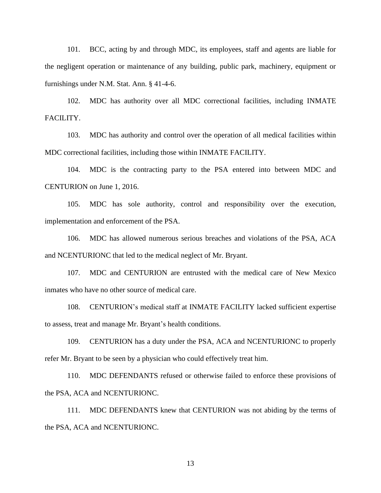101. BCC, acting by and through MDC, its employees, staff and agents are liable for the negligent operation or maintenance of any building, public park, machinery, equipment or furnishings under N.M. Stat. Ann. § 41-4-6.

102. MDC has authority over all MDC correctional facilities, including INMATE FACILITY.

103. MDC has authority and control over the operation of all medical facilities within MDC correctional facilities, including those within INMATE FACILITY.

104. MDC is the contracting party to the PSA entered into between MDC and CENTURION on June 1, 2016.

105. MDC has sole authority, control and responsibility over the execution, implementation and enforcement of the PSA.

106. MDC has allowed numerous serious breaches and violations of the PSA, ACA and NCENTURIONC that led to the medical neglect of Mr. Bryant.

107. MDC and CENTURION are entrusted with the medical care of New Mexico inmates who have no other source of medical care.

108. CENTURION's medical staff at INMATE FACILITY lacked sufficient expertise to assess, treat and manage Mr. Bryant's health conditions.

109. CENTURION has a duty under the PSA, ACA and NCENTURIONC to properly refer Mr. Bryant to be seen by a physician who could effectively treat him.

110. MDC DEFENDANTS refused or otherwise failed to enforce these provisions of the PSA, ACA and NCENTURIONC.

111. MDC DEFENDANTS knew that CENTURION was not abiding by the terms of the PSA, ACA and NCENTURIONC.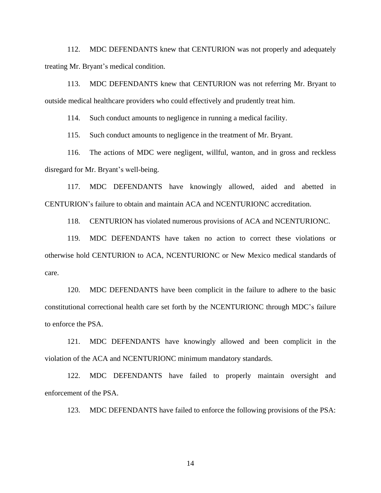112. MDC DEFENDANTS knew that CENTURION was not properly and adequately treating Mr. Bryant's medical condition.

113. MDC DEFENDANTS knew that CENTURION was not referring Mr. Bryant to outside medical healthcare providers who could effectively and prudently treat him.

114. Such conduct amounts to negligence in running a medical facility.

115. Such conduct amounts to negligence in the treatment of Mr. Bryant.

116. The actions of MDC were negligent, willful, wanton, and in gross and reckless disregard for Mr. Bryant's well-being.

117. MDC DEFENDANTS have knowingly allowed, aided and abetted in CENTURION's failure to obtain and maintain ACA and NCENTURIONC accreditation.

118. CENTURION has violated numerous provisions of ACA and NCENTURIONC.

119. MDC DEFENDANTS have taken no action to correct these violations or otherwise hold CENTURION to ACA, NCENTURIONC or New Mexico medical standards of care.

120. MDC DEFENDANTS have been complicit in the failure to adhere to the basic constitutional correctional health care set forth by the NCENTURIONC through MDC's failure to enforce the PSA.

121. MDC DEFENDANTS have knowingly allowed and been complicit in the violation of the ACA and NCENTURIONC minimum mandatory standards.

122. MDC DEFENDANTS have failed to properly maintain oversight and enforcement of the PSA.

123. MDC DEFENDANTS have failed to enforce the following provisions of the PSA: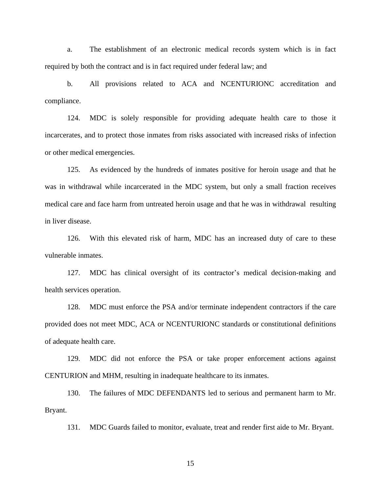a. The establishment of an electronic medical records system which is in fact required by both the contract and is in fact required under federal law; and

b. All provisions related to ACA and NCENTURIONC accreditation and compliance.

124. MDC is solely responsible for providing adequate health care to those it incarcerates, and to protect those inmates from risks associated with increased risks of infection or other medical emergencies.

125. As evidenced by the hundreds of inmates positive for heroin usage and that he was in withdrawal while incarcerated in the MDC system, but only a small fraction receives medical care and face harm from untreated heroin usage and that he was in withdrawal resulting in liver disease.

126. With this elevated risk of harm, MDC has an increased duty of care to these vulnerable inmates.

127. MDC has clinical oversight of its contractor's medical decision-making and health services operation.

128. MDC must enforce the PSA and/or terminate independent contractors if the care provided does not meet MDC, ACA or NCENTURIONC standards or constitutional definitions of adequate health care.

129. MDC did not enforce the PSA or take proper enforcement actions against CENTURION and MHM, resulting in inadequate healthcare to its inmates.

130. The failures of MDC DEFENDANTS led to serious and permanent harm to Mr. Bryant.

131. MDC Guards failed to monitor, evaluate, treat and render first aide to Mr. Bryant.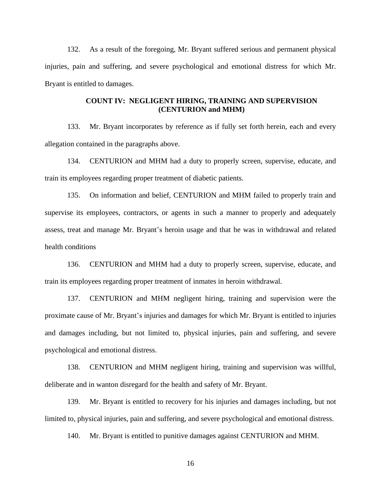132. As a result of the foregoing, Mr. Bryant suffered serious and permanent physical injuries, pain and suffering, and severe psychological and emotional distress for which Mr. Bryant is entitled to damages.

## **COUNT IV: NEGLIGENT HIRING, TRAINING AND SUPERVISION (CENTURION and MHM)**

133. Mr. Bryant incorporates by reference as if fully set forth herein, each and every allegation contained in the paragraphs above.

134. CENTURION and MHM had a duty to properly screen, supervise, educate, and train its employees regarding proper treatment of diabetic patients.

135. On information and belief, CENTURION and MHM failed to properly train and supervise its employees, contractors, or agents in such a manner to properly and adequately assess, treat and manage Mr. Bryant's heroin usage and that he was in withdrawal and related health conditions

136. CENTURION and MHM had a duty to properly screen, supervise, educate, and train its employees regarding proper treatment of inmates in heroin withdrawal.

137. CENTURION and MHM negligent hiring, training and supervision were the proximate cause of Mr. Bryant's injuries and damages for which Mr. Bryant is entitled to injuries and damages including, but not limited to, physical injuries, pain and suffering, and severe psychological and emotional distress.

138. CENTURION and MHM negligent hiring, training and supervision was willful, deliberate and in wanton disregard for the health and safety of Mr. Bryant.

139. Mr. Bryant is entitled to recovery for his injuries and damages including, but not limited to, physical injuries, pain and suffering, and severe psychological and emotional distress.

140. Mr. Bryant is entitled to punitive damages against CENTURION and MHM.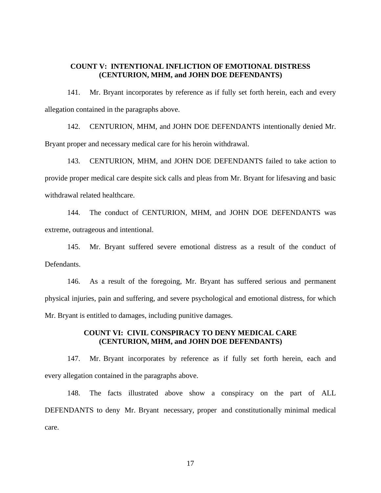## **COUNT V: INTENTIONAL INFLICTION OF EMOTIONAL DISTRESS (CENTURION, MHM, and JOHN DOE DEFENDANTS)**

141. Mr. Bryant incorporates by reference as if fully set forth herein, each and every allegation contained in the paragraphs above.

142. CENTURION, MHM, and JOHN DOE DEFENDANTS intentionally denied Mr. Bryant proper and necessary medical care for his heroin withdrawal.

143. CENTURION, MHM, and JOHN DOE DEFENDANTS failed to take action to provide proper medical care despite sick calls and pleas from Mr. Bryant for lifesaving and basic withdrawal related healthcare.

144. The conduct of CENTURION, MHM, and JOHN DOE DEFENDANTS was extreme, outrageous and intentional.

145. Mr. Bryant suffered severe emotional distress as a result of the conduct of Defendants.

146. As a result of the foregoing, Mr. Bryant has suffered serious and permanent physical injuries, pain and suffering, and severe psychological and emotional distress, for which Mr. Bryant is entitled to damages, including punitive damages.

# **COUNT VI: CIVIL CONSPIRACY TO DENY MEDICAL CARE (CENTURION, MHM, and JOHN DOE DEFENDANTS)**

147. Mr. Bryant incorporates by reference as if fully set forth herein, each and every allegation contained in the paragraphs above.

148. The facts illustrated above show a conspiracy on the part of ALL DEFENDANTS to deny Mr. Bryant necessary, proper and constitutionally minimal medical care.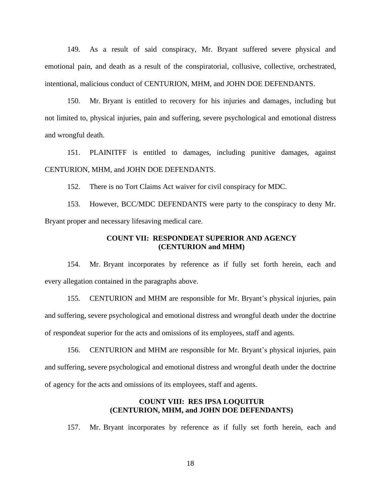149. As a result of said conspiracy, Mr. Bryant suffered severe physical and emotional pain, and death as a result of the conspiratorial, collusive, collective, orchestrated, intentional, malicious conduct of CENTURION, MHM, and JOHN DOE DEFENDANTS.

150. Mr. Bryant is entitled to recovery for his injuries and damages, including but not limited to, physical injuries, pain and suffering, severe psychological and emotional distress and wrongful death.

151. PLAINITFF is entitled to damages, including punitive damages, against CENTURION, MHM, and JOHN DOE DEFENDANTS.

152. There is no Tort Claims Act waiver for civil conspiracy for MDC.

153. However, BCC/MDC DEFENDANTS were party to the conspiracy to deny Mr. Bryant proper and necessary lifesaving medical care.

#### **COUNT VII: RESPONDEAT SUPERIOR AND AGENCY (CENTURION and MHM)**

154. Mr. Bryant incorporates by reference as if fully set forth herein, each and every allegation contained in the paragraphs above.

155. CENTURION and MHM are responsible for Mr. Bryant's physical injuries, pain and suffering, severe psychological and emotional distress and wrongful death under the doctrine of respondeat superior for the acts and omissions of its employees, staff and agents.

156. CENTURION and MHM are responsible for Mr. Bryant's physical injuries, pain and suffering, severe psychological and emotional distress and wrongful death under the doctrine of agency for the acts and omissions of its employees, staff and agents.

## **COUNT VIII: RES IPSA LOQUITUR (CENTURION, MHM, and JOHN DOE DEFENDANTS)**

157. Mr. Bryant incorporates by reference as if fully set forth herein, each and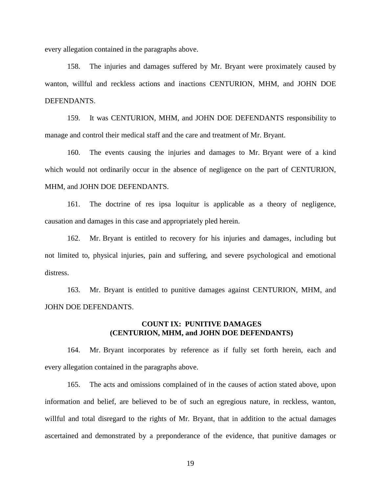every allegation contained in the paragraphs above.

158. The injuries and damages suffered by Mr. Bryant were proximately caused by wanton, willful and reckless actions and inactions CENTURION, MHM, and JOHN DOE DEFENDANTS.

159. It was CENTURION, MHM, and JOHN DOE DEFENDANTS responsibility to manage and control their medical staff and the care and treatment of Mr. Bryant.

160. The events causing the injuries and damages to Mr. Bryant were of a kind which would not ordinarily occur in the absence of negligence on the part of CENTURION, MHM, and JOHN DOE DEFENDANTS.

161. The doctrine of res ipsa loquitur is applicable as a theory of negligence, causation and damages in this case and appropriately pled herein.

162. Mr. Bryant is entitled to recovery for his injuries and damages, including but not limited to, physical injuries, pain and suffering, and severe psychological and emotional distress.

163. Mr. Bryant is entitled to punitive damages against CENTURION, MHM, and JOHN DOE DEFENDANTS.

#### **COUNT IX: PUNITIVE DAMAGES (CENTURION, MHM, and JOHN DOE DEFENDANTS)**

164. Mr. Bryant incorporates by reference as if fully set forth herein, each and every allegation contained in the paragraphs above.

165. The acts and omissions complained of in the causes of action stated above, upon information and belief, are believed to be of such an egregious nature, in reckless, wanton, willful and total disregard to the rights of Mr. Bryant, that in addition to the actual damages ascertained and demonstrated by a preponderance of the evidence, that punitive damages or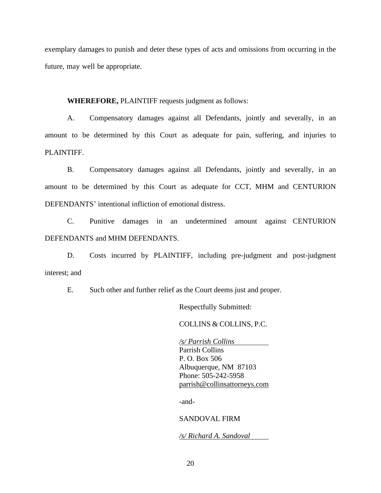exemplary damages to punish and deter these types of acts and omissions from occurring in the future, may well be appropriate.

**WHEREFORE,** PLAINTIFF requests judgment as follows:

A. Compensatory damages against all Defendants, jointly and severally, in an amount to be determined by this Court as adequate for pain, suffering, and injuries to PLAINTIFF.

B. Compensatory damages against all Defendants, jointly and severally, in an amount to be determined by this Court as adequate for CCT, MHM and CENTURION DEFENDANTS' intentional infliction of emotional distress.

C. Punitive damages in an undetermined amount against CENTURION DEFENDANTS and MHM DEFENDANTS.

D. Costs incurred by PLAINTIFF, including pre-judgment and post-judgment interest; and

E. Such other and further relief as the Court deems just and proper.

Respectfully Submitted:

COLLINS & COLLINS, P.C.

*/s/ Parrish Collins* Parrish Collins P. O. Box 506 Albuquerque, NM 87103 Phone: 505-242-5958 [parrish@collinsattorneys.com](mailto:parrish@collinsattorneys.com)

-and-

#### SANDOVAL FIRM

*/s/ Richard A. Sandoval*